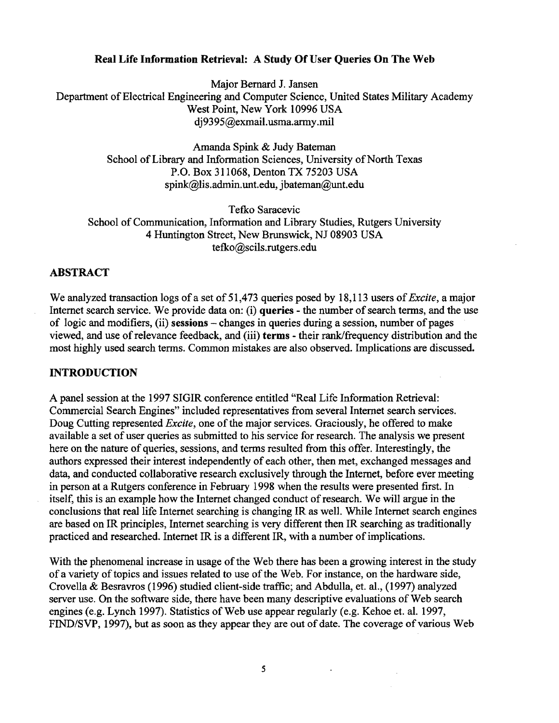### **Real Life Information Retrieval: A Study Of User Queries On The Web**

Major Bemard J. Jansen Department of Electrical Engineering and Computer Science, United States Military Academy West Point, New York 10996 USA dj9395@exmail.usma.army.mil

> Amanda Spink & Judy Bateman School of Library and Information Sciences, University of North Texas P.O. Box 311068, Denton TX 75203 USA spink@lis.admin.unt.edu, jbateman@unt.edu

Tefko Saracevic School of Communication, Information and Library Studies, Rutgers University 4 Huntington Street, New Brunswick, NJ 08903 USA tefko@scils.rutgers.edu

### ABSTRACT

We analyzed transaction logs of a set of 51,473 queries posed by 18,113 users *of Excite,* a major Internet search service. We provide data on: (i) queries - the number of search terms, and the use of logic and modifiers, (ii) sessions  $-\alpha$  changes in queries during a session, number of pages viewed, and use of relevance feedback, and (iii) terms - their rank/frequency distribution and the most highly used search terms. Common mistakes are also observed. Implications are discussed.

#### INTRODUCTION

A panel session at the 1997 SIGIR conference entitled "Real Life Information Retrieval: Commercial Search Engines" included representatives from several Intemet search services. Doug Cutting represented *Excite,* one of the major services. Graciously, he offered to make available a set of user queries as submitted to his service for research. The analysis we present here on the nature of queries, sessions, and terms resulted from this offer. Interestingly, the authors expressed their interest independently of each other, then met, exchanged messages and data, and conducted collaborative research exclusively through the Internet, before ever meeting in person at a Rutgers conference in February 1998 when the results were presented first. In itself, this is an example how the Intemet changed conduct of research. We will argue in the conclusions that real life Internet searching is changing IR as well. While Internet search engines are based on IR principles, Internet searching is very different then IR searching as traditionally practiced and researched. Intemet IR is a different IR, with a number of implications.

With the phenomenal increase in usage of the Web there has been a growing interest in the study of a variety of topics and issues related to use of the Web. For instance, on the hardware side, Crovella & Besravros (1996) studied client-side traffic; and Abdulla, et. al., (1997) analyzed server use. On the software side, there have been many descriptive evaluations of Web search engines (e.g. Lynch 1997). Statistics of Web use appear regularly (e.g. Kehoe et. al. 1997, FIND/SVP, 1997), but as soon as they appear they are out of date. The coverage of various Web

 $\sim$   $\sim$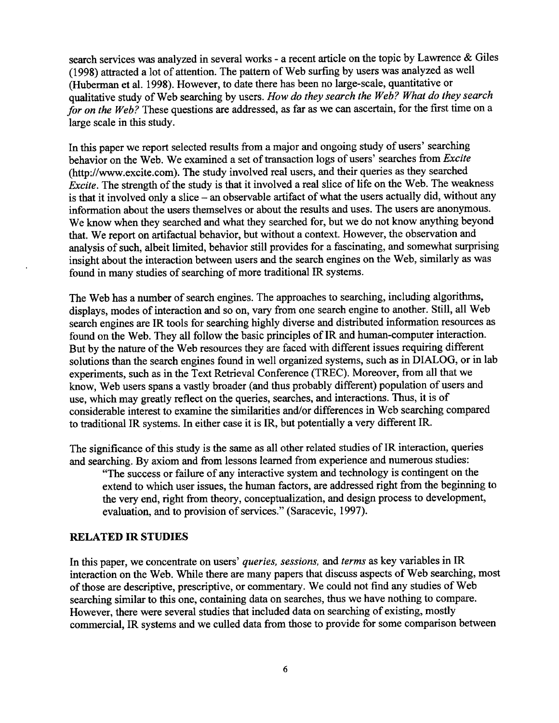search services was analyzed in several works - a recent article on the topic by Lawrence & Giles (1998) attracted a lot of attention. The pattern of Web surfing by users was analyzed as well (Huberman et al. 1998). However, to date there has been no large-scale, quantitative or qualitative study of Web searching by users. *How do they search the Web? What do they search for on the Web?* These questions are addressed, as far as we can ascertain, for the first time on a large scale in this study.

In this paper we report selected results from a major and ongoing study of users' searching behavior on the Web. We examined a set of transaction logs of users' searches from *Excite*  (http://www.excite.com). The study involved real users, and their queries as they searched *Excite.* The strength of the study is that it involved a real slice of life on the Web. The weakness is that it involved only a slice - an observable artifact of what the users actually did, without any information about the users themselves or about the results and uses. The users are anonymous. We know when they searched and what they searched for, but we do not know anything beyond that. We report on artifactual behavior, but without a context. However, the observation and analysis of such, albeit limited, behavior still provides for a fascinating, and somewhat surprising insight about the interaction between users and the search engines on the Web, similarly as was found in many studies of searching of more traditional IR systems.

The Web has a number of search engines. The approaches to searching, including algorithms, displays, modes of interaction and so on, vary from one search engine to another. Still, all Web search engines are IR tools for searching highly diverse and distributed information resources as found on the Web. They all follow the basic principles of IR and human-computer interaction. But by the nature of the Web resources they are faced with different issues requiring different solutions than the search engines found in well organized systems, such as in DIALOG, or in lab experiments, such as in the Text Retrieval Conference (TREC). Moreover, from all that we know, Web users spans a vastly broader (and thus probably different) population of users and use, which may greatly reflect on the queries, searches, and interactions. Thus, it is of considerable interest to examine the similarities and/or differences in Web searching compared to traditional IR systems. In either case it is IR, but potentially a very different IR.

The significance of this study is the same as all other related studies of IR interaction, queries and searching. By axiom and from lessons learned from experience and numerous studies:

"The success or failure of any interactive system and technology is contingent on the extend to which user issues, the human factors, are addressed right from the beginning to the very end, right from theory, conceptualization, and design process to development, evaluation, and to provision of services." (Saracevic, 1997).

#### **RELATED IR STUDIES**

In this paper, we concentrate on users' *queries, sessions, and terms* as key variables in IR interaction on the Web. While there are many papers that discuss aspects of Web searching, most of those are descriptive, prescriptive, or commentary. We could not find any studies of Web searching similar to this one, containing data on searches, thus we have nothing to compare. However, there were several studies that included data on searching of existing, mostly commercial, IR systems and we culled data from those to provide for some comparison between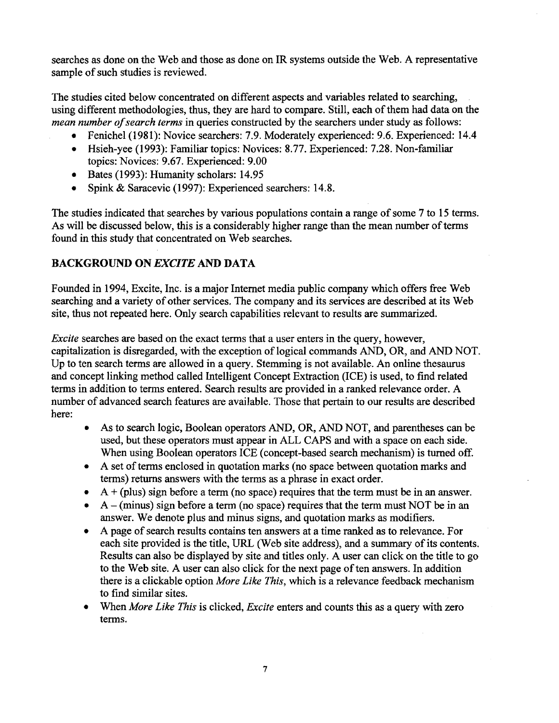searches as done on the Web and those as done on IR systems outside the Web. A representative sample of such studies is reviewed.

The studies cited below concentrated on different aspects and variables related to searching, using different methodologies, thus, they are hard to compare. Still, each of them had data on the *mean number of search terms* in queries constructed by the searchers under study as follows:

- Fenichel (1981): Novice searchers: 7.9. Moderately experienced: 9.6. Experienced: 14.4
- Hsieh-yee (1993): Familiar topics: Novices: 8.77. Experienced: 7.28. Non-familiar topics: Novices: 9.67. Experienced: 9.00
- Bates (1993): Humanity scholars: 14.95
- Spink & Saracevic (1997): Experienced searchers: 14.8.

The studies indicated that searches by various populations contain a range of some 7 to 15 terms. As will be discussed below, this is a considerably higher range than the mean number of terms found in this study that concentrated on Web searches.

# BACKGROUND ON *EXCITE* AND DATA

Founded in 1994, Excite, Inc. is a major Intemet media public company which offers free Web searching and a variety of other services. The company and its services are described at its Web site, thus not repeated here. Only search capabilities relevant to results are summarized.

*Excite* searches are based on the exact terms that a user enters in the query, however, capitalization is disregarded, with the exception of logical commands AND, OR, and AND NOT. Up to ten search terms are allowed in a query. Stemming is not available. An online thesaurus and concept linking method called Intelligent Concept Extraction (ICE) is used, to find related terms in addition to terms entered. Search results are provided in a ranked relevance order. A number of advanced search features are available. Those that pertain to our results are described here:

- As to search logic, Boolean operators AND, OR, AND NOT, and parentheses can be used, but these operators must appear in ALL CAPS and with a space on each side. When using Boolean operators ICE (concept-based search mechanism) is turned off.
- A set of terms enclosed in quotation marks (no space between quotation marks and terms) returns answers with the terms as a phrase in exact order.
- $A + (plus)$  sign before a term (no space) requires that the term must be in an answer.
- A (minus) sign before a term (no space) requires that the term must NOT be in an answer. We denote plus and minus signs, and quotation marks as modifiers.
- A page of search results contains ten answers at a time ranked as to relevance. For each site provided is the title, URL (Web site address), and a summary of its contents. Results can also be displayed by site and titles only. A user can click on the title to go to the Web site. A user can also click for the next page of ten answers. In addition there is a clickable option *More Like This,* which is a relevance feedback mechanism to find similar sites.
- When *More Like This* is clicked, *Excite* enters and counts this as a query with zero terms,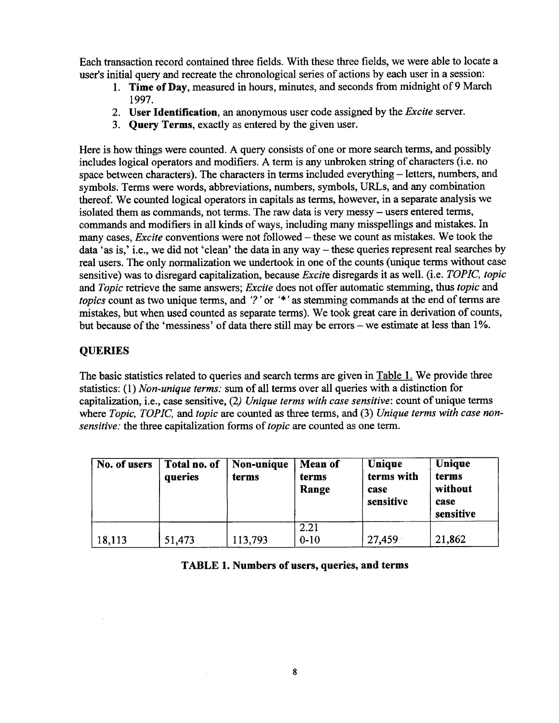Each transaction record contained three fields. With these three fields, we were able to locate a user's initial query and recreate the chronological series of actions by each user in a session:

- 1. **Time of** Day, measured in hours, minutes, and seconds from midnight of 9 March 1997.
- 2. **User Identification,** an anonymous user code assigned by the *Excite* server.
- 3. Query Terms, exactly as entered by the given user.

Here is how things were counted. A query consists of one or more search terms, and possibly includes logical operators and modifiers. A term is any unbroken string of characters (i.e. no space between characters). The characters in terms included everything - letters, numbers, and symbols. Terms were words, abbreviations, numbers, symbols, URLs, and any combination thereof. We counted logical operators in capitals as terms, however, in a separate analysis we isolated them as commands, not terms. The raw data is very messy – users entered terms, commands and modifiers in all kinds of ways, including many misspellings and mistakes. In many cases, *Excite* conventions were not followed – these we count as mistakes. We took the data 'as is,' i.e., we did not 'clean' the data in any way - these queries represent real searches by real users. The only normalization we undertook in one of the counts (unique terms without case sensitive) was to disregard capitalization, because *Excite* disregards it as well. (i.e. *TOPIC, topic and Topic* retrieve the same answers; *Excite* does not offer automatic stemming, thus *topic* and *topics* count as two unique terms, and '?' or '\*' as stemming commands at the end of terms are mistakes, but when used counted as separate terms). We took great care in derivation of counts, but because of the 'messiness' of data there still may be errors – we estimate at less than 1%.

# **QUERIES**

The basic statistics related to queries and search terms are given in Table 1. We provide three statistics: (1) *Non-unique terms:* sum of all terms over all queries with a distinction for capitalization, i.e., case sensitive, (2) *Unique terms with case sensitive:* count of unique terms where *Topic, TOPIC, and topic are* counted as three terms, and (3) *Unique terms with case nonsensitive: the* three capitalization forms *of topic are* counted as one term.

| No. of users | Total no. of<br>queries | Non-unique<br>terms | Mean of<br>terms<br>Range | Unique<br>terms with<br>case<br>sensitive | Unique<br>terms<br>without<br>case<br>sensitive |
|--------------|-------------------------|---------------------|---------------------------|-------------------------------------------|-------------------------------------------------|
| 18,113       | 51,473                  | 113,793             | 2.21<br>$0 - 10$          | 27,459                                    | 21,862                                          |

**TABLE 1. Numbers of users, queries, and terms** 

 $\mathcal{A}^{\mathcal{A}}$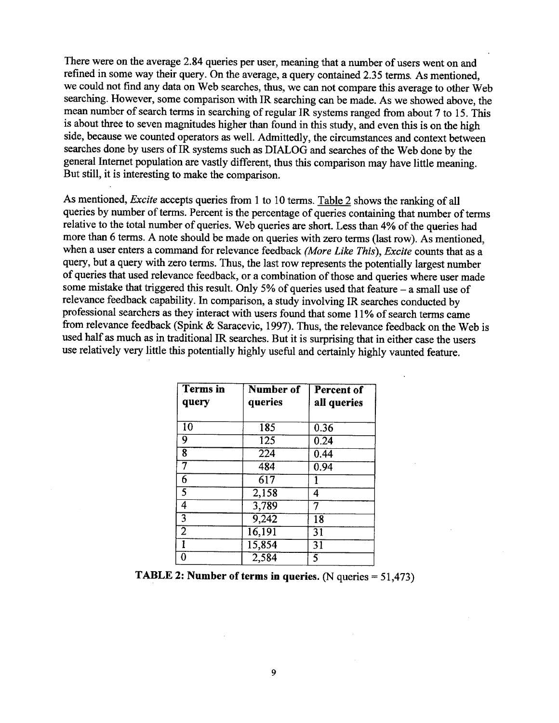There were on the average 2.84 queries per user, meaning that a number of users went on and refined in some way their query. On the average, a query contained 2.35 terms. As mentioned, we could not find any data on Web searches, thus, we can not compare this average to other Web searching. However, some comparison with IR searching can be made. As we showed above, the mean number of search terms in searching of regular IR systems ranged from about 7 to 15. This is about three to seven magnitudes higher than found in this study, and even this is on the high side, because we counted operators as well. Admittedly, the circumstances and context between searches done by users of IR systems such as DIALOG and searches of the Web done by the general Internet population are vastly different, thus this comparison may have little meaning. But still, it is interesting to make the comparison.

As mentioned, *Excite* accepts queries from 1 to 10 terms. Table 2 shows the ranking of all queries by number of terms. Percent is the percentage of queries containing that number of terms relative to the total number of queries. Web queries are short. Less than 4% of the queries had more than 6 terms. A note should be made on queries with zero terms (last row). As mentioned, when a user enters a command for relevance feedback *(More Like This), Excite* counts that as a query, but a query with zero terms. Thus, the last row represents the potentially largest number of queries that used relevance feedback, or a combination of those and queries where user made some mistake that triggered this result. Only 5% of queries used that feature - a small use of relevance feedback capability. In comparison, a study involving IR searches conducted by professional searchers as they interact with users found that some 11% of search terms came from relevance feedback (Spink & Saracevic, 1997). Thus, the relevance feedback on the Web is used half as much as in traditional IR searches. But it is surprising that in either case the users use relatively very little this potentially highly useful and certainly highly vaunted feature.

| <b>Terms</b> in<br>query | Number of<br>queries | Percent of<br>all queries |
|--------------------------|----------------------|---------------------------|
|                          |                      |                           |
| $\overline{10}$          | 185                  | 0.36                      |
| 9                        | 125                  | 0.24                      |
| 8                        | $\overline{224}$     | 0.44                      |
|                          | 484                  | 0.94                      |
| 6                        | $\overline{617}$     |                           |
| $\overline{5}$           | 2,158                | 4                         |
| 4                        | 3,789                | 7                         |
| $\overline{3}$           | 9,242                | 18                        |
| $\overline{2}$           | 16,191               | $\overline{31}$           |
|                          | 15,854               | $\overline{31}$           |
|                          | 2,584                | $\overline{5}$            |

**TABLE 2: Number of terms in queries. (N queries = 51,473)**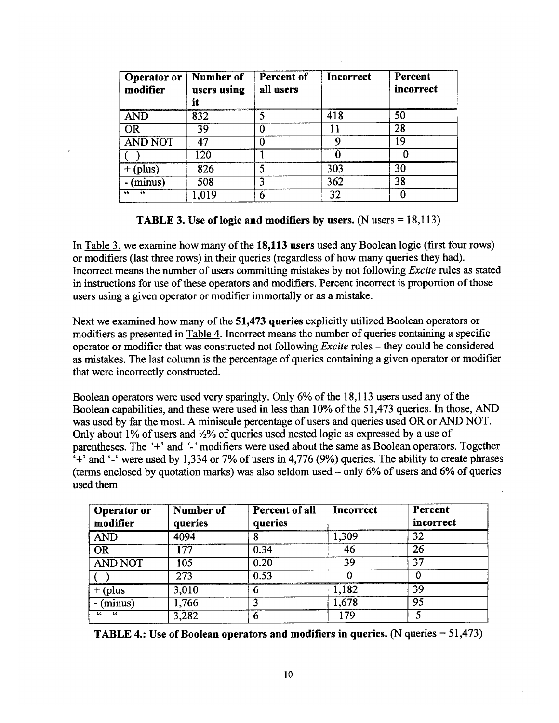| <b>Operator or</b><br>modifier | Number of<br>users using<br>it | Percent of<br>all users | Incorrect | Percent<br>incorrect |
|--------------------------------|--------------------------------|-------------------------|-----------|----------------------|
| <b>AND</b>                     | 832                            |                         | 418       | 50                   |
| <b>OR</b>                      | 39                             |                         |           | 28                   |
| <b>AND NOT</b>                 | 47                             |                         |           | 19                   |
|                                | 120                            |                         |           |                      |
| (plus)                         | 826                            |                         | 303       | 30                   |
| (minus)                        | 508                            |                         | 362       | 38                   |
| 46<br>66                       | 0.019                          | 6                       | 32        |                      |

**TABLE 3. Use of logic and modifiers by users. (N users = 18,113)** 

In Table 3. we examine how many of the 18,113 users used any Boolean logic (first four rows) or modifiers (last three rows) in their queries (regardless of how many queries they had). Incorrect means the number of users committing mistakes by not following *Excite* rules as stated in instructions for use of these operators and modifiers. Percent incorrect is proportion of those users using a given operator or modifier immortally or as a mistake.

Next we examined how many of the **51,473 queries** explicitly utilized Boolean operators or modifiers as presented in Table 4. Incorrect means the number of queries containing a specific operator or modifier that was constructed not following *Excite* rules - they could be considered as mistakes. The last column is the percentage of queries containing a given operator or modifier that were incorrectly constructed.

Boolean operators were used very sparingly. Only 6% of the 18,113 users used any of the Boolean capabilities, and these were used in less than 10% of the 51,473 queries. In those, AND was used by far the most. A miniscule percentage of users and queries used OR or AND NOT. Only about 1% of users and ½% of queries used nested logic as expressed by a use of parentheses. The '+' and *'-"* modifiers were used about the same as Boolean operators. Together  $\cdot$ +' and  $\cdot$ -' were used by 1,334 or 7% of users in 4,776 (9%) queries. The ability to create phrases (terms enclosed by quotation marks) was also seldom used  $-$  only 6% of users and 6% of queries used them

| <b>Operator or</b><br>modifier | Number of<br>queries | Percent of all<br>queries | Incorrect | Percent<br>incorrect |
|--------------------------------|----------------------|---------------------------|-----------|----------------------|
| <b>AND</b>                     | 4094                 |                           | 1,309     | 32                   |
| <b>OR</b>                      | 177                  | 0.34                      | 46        | 26                   |
| <b>AND NOT</b>                 | 105                  | 0.20                      | 39        | 37                   |
|                                | 273                  | 0.53                      |           |                      |
| + (plus                        | 3,010                | n                         | 1,182     | 39                   |
| $(\overline{\text{minus}})$    | 1,766                |                           | 1,678     | 95                   |
| 66<br>66                       | 3,282                |                           | 179       |                      |

**TABLE 4.: Use of Boolean operators and modifiers in queries. (N queries = 51,473)**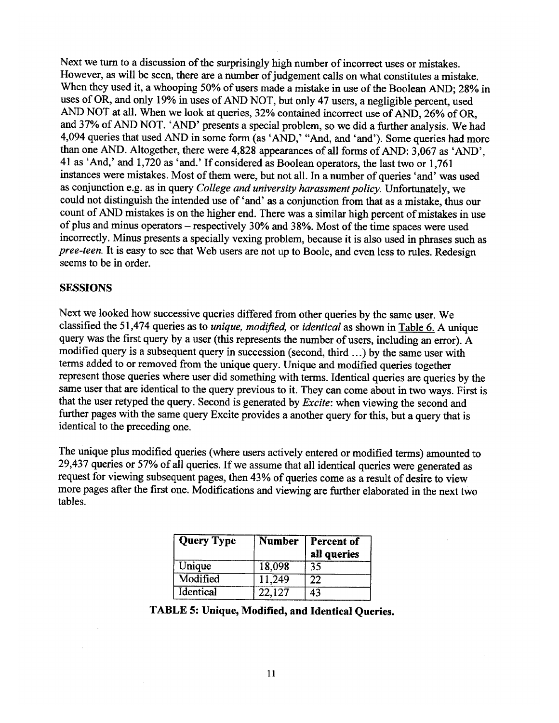Next we turn to a discussion of the surprisingly high number of incorrect uses or mistakes. However, as will be seen, there are a number of judgement calls on what constitutes a mistake. When they used it, a whooping 50% of users made a mistake in use of the Boolean AND; 28% in uses of OR, and only 19% in uses of AND NOT, but only 47 users, a negligible percent, used AND NOT at all. When we look at queries, 32% contained incorrect use of AND, 26% of OR, and 37% of AND NOT. 'AND' presents a special problem, so we did a further analysis. We had 4,094 queries that used AND in some form (as 'AND,' "And, and 'and'). Some queries had more than one AND. Altogether, there were 4,828 appearances of all forms of AND: 3,067 as 'AND', 41 as 'And,' and 1,720 as 'and.' If considered as Boolean operators, the last two or 1,761 instances were mistakes. Most of them were, but not all. In a number of queries 'and' was used as conjunction e.g. as in query *College and university harassment policy.* Unfortunately, we could not distinguish the intended use of 'and' as a conjunction from that as a mistake, thus our count of AND mistakes is on the higher end. There was a similar high percent of mistakes in use of plus and minus operators - respectively 30% and 38%. Most of the time spaces were used incorrectly. Minus presents a specially vexing problem, because it is also used in phrases such as *pree-teen.* It is easy to see that Web users are not up to Boole, and even less to rules. Redesign seems to be in order.

### **SESSIONS**

Next we looked how successive queries differed from other queries by the same user. We classified the 51,474 queries as to *unique, modified,* or *identical* as shown in Table 6. A unique query was the first query by a user (this represents the number of users, including an error). A modified query is a subsequent query in succession (second, third ...) by the same user with terms added to or removed from the unique query. Unique and modified queries together represent those queries where user did something with terms. Identical queries are queries by the same user that are identical to the query previous to it. They can come about in two ways. First is that the user retyped the query. Second is generated by *Excite:* when viewing the second and further pages with the same query Excite provides a another query for this, but a query that is identical to the preceding one.

The unique plus modified queries (where users actively entered or modified terms) amounted to 29,437 queries or 57% of all queries. If we assume that all identical queries were generated as request for viewing subsequent pages, then 43% of queries come as a result of desire to view more pages after the first one. Modifications and viewing are further elaborated in the next two tables.

| <b>Query Type</b> | <b>Number</b> | <b>Percent of</b><br>all queries |
|-------------------|---------------|----------------------------------|
| Unique            | 18,098        | 35                               |
| Modified          | 11,249        | 22                               |
| Identical         | 22,127        | 43                               |

# **TABLE 5: Unique, Modified, and Identical Queries.**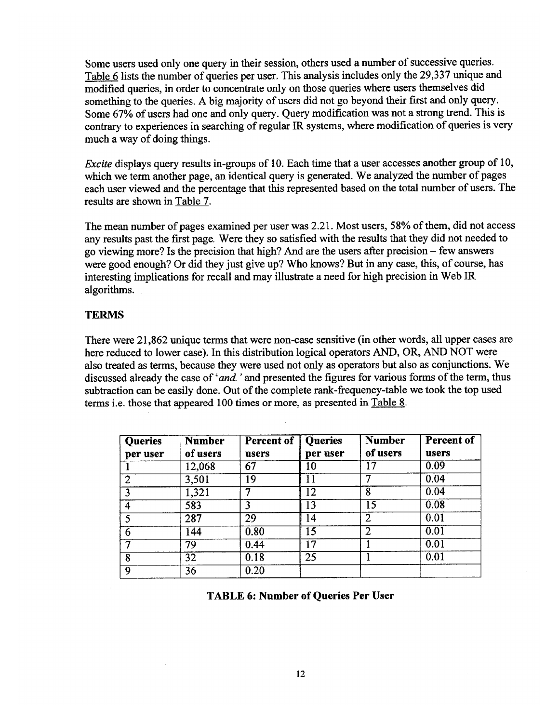Some users used only one query in their session, others used a number of successive queries. Table 6 lists the number of queries per user. This analysis includes only the 29,337 unique and modified queries, in order to concentrate only on those queries where users themselves did something to the queries. A big majority of users did not go beyond their first and only query. Some 67% of users had one and only query. Query modification was not a strong trend. This is contrary to experiences in searching of regular IR systems, where modification of queries is very much a way of doing things.

*Excite* displays query results in-groups of 10. Each time that a user accesses another group of 10, which we term another page, an identical query is generated. We analyzed the number of pages each user viewed and the percentage that this represented based on the total number of users. The results are shown in Table 7.

The mean number of pages examined per user was 2.21. Most users, 58% of them, did not access any results past the first page. Were they so satisfied with the results that they did not needed to go viewing more? Is the precision that high? And are the users after precision - few answers were good enough? Or did they just give up? Who knows? But in any case, this, of course, has interesting implications for recall and may illustrate a need for high precision in Web IR algorithms.

### **TERMS**

There were 21,862 unique terms that were non-case sensitive (in other words, all upper cases are here reduced to lower case). In this distribution logical operators AND, OR, AND NOT were also treated as terms, because they were used not only as operators but also as conjunctions. We discussed already the case of *'and*.' and presented the figures for various forms of the term, thus subtraction can be easily done. Out of the complete rank-frequency-table we took the top used terms i.e. those that appeared 100 times or more, as presented in Table 8.

| <b>Queries</b> | <b>Number</b>   | <b>Percent of Queries</b> |                 | <b>Number</b>  | Percent of |
|----------------|-----------------|---------------------------|-----------------|----------------|------------|
| per user       | of users        | users                     | per user        | of users       | users      |
|                | 12,068          | 67                        | 10              | 17             | 0.09       |
|                | 3,501           | 19                        | 11              |                | 0.04       |
|                | 1,321           | ר                         | 12              | 8              | 0.04       |
|                | 583             | 3                         | 13              | 15             | 0.08       |
|                | 287             | 29                        | 14              |                | 0.01       |
| 6              | 144             | 0.80                      | 15              | $\overline{2}$ | 0.01       |
|                | 79              | 0.44                      | 17              |                | 0.01       |
| 8              | $\overline{32}$ | 0.18                      | $\overline{25}$ |                | 0.01       |
| 9              | 36              | 0.20                      |                 |                |            |

**TABLE 6: Number of Queries Per User**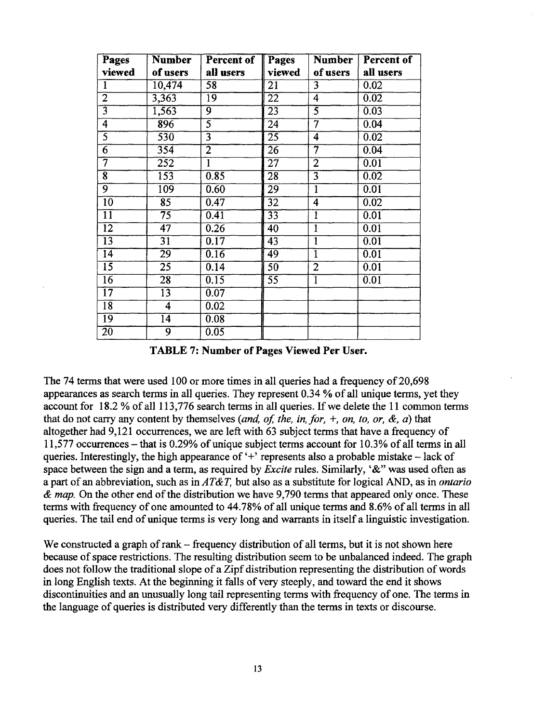| Pages               | <b>Number</b>   | Percent of        | Pages           | <b>Number</b>           | Percent of        |
|---------------------|-----------------|-------------------|-----------------|-------------------------|-------------------|
| viewed              | of users        | all users         | viewed          | of users                | all users         |
| $\mathbf{1}$        | 10,474          | 58                | 21              | 3                       | 0.02              |
| $\overline{2}$      | 3,363           | $\overline{19}$   | $\overline{22}$ | $\overline{4}$          | 0.02              |
| $\overline{3}$      | 1,563           | 9                 | $\overline{23}$ | $\overline{5}$          | 0.03              |
| $\overline{4}$      | 896             | $\overline{5}$    | 24              | $\overline{7}$          | 0.04              |
| $\overline{5}$      | 530             | $\overline{3}$    | $\overline{25}$ | 4                       | 0.02              |
| $\overline{6}$      | 354             | $\overline{2}$    | 26              | 7                       | $0.\overline{04}$ |
| 7                   | 252             | $\mathbf{I}$      | $\overline{27}$ | $\overline{2}$          | $\overline{0.01}$ |
| $\overline{\bm{8}}$ | 153             | 0.85              | 28              | $\overline{3}$          | 0.02              |
| $\overline{9}$      | 109             | 0.60              | 29              | $\overline{\mathbf{1}}$ | $\overline{0.01}$ |
| $\overline{10}$     | 85              | 0.47              | $\overline{32}$ | $\overline{4}$          | 0.02              |
| $1\overline{1}$     | $\overline{75}$ | 0.41              | $\overline{33}$ | $\overline{1}$          | 0.01              |
| $\overline{12}$     | $\overline{47}$ | 0.26              | $\overline{40}$ | $\overline{1}$          | 0.01              |
| $\overline{13}$     | 31              | 0.17              | 43              | $\overline{1}$          | 0.01              |
| $\overline{14}$     | $\overline{29}$ | $\overline{0.16}$ | 49              | $\overline{1}$          | 0.01              |
| $\overline{15}$     | $\overline{25}$ | $\overline{0.14}$ | $\overline{50}$ | $\overline{2}$          | 0.01              |
| $\overline{16}$     | $\overline{28}$ | $\overline{0.15}$ | 55              | $\overline{1}$          | 0.01              |
| $\overline{17}$     | 13              | 0.07              |                 |                         |                   |
| $\overline{18}$     | 4               | 0.02              |                 |                         |                   |
| $\overline{19}$     | $\overline{14}$ | 0.08              |                 |                         |                   |
| $\overline{20}$     | 9               | 0.05              |                 |                         |                   |

**TABLE 7: Number of Pages Viewed Per User.** 

The 74 terms that were used 100 or more times in all queries had a frequency of 20,698 appearances as search terms in all queries. They represent 0.34 % of all unique terms, yet they account for 18.2 % of all 113,776 search terms in all queries. If we delete the 11 common terms that do not carry any content by themselves *(and, of, the, in, for, +, on, to, or, &, a)* that altogether had 9,121 occurrences, we are left with 63 subject terms that have a frequency of 11,577 occurrences - that is 0.29% of unique subject terms account for 10.3% of all terms in all queries. Interestingly, the high appearance of  $+$  represents also a probable mistake – lack of space between the sign and a term, as required by *Excite* rules. Similarly, '&" was used often as apart of an abbreviation, such as *inAT&T,* but also as a substitute for logical AND, as in *ontario & map.* On the other end of the distribution we have 9,790 terms that appeared only once. These terms with frequency of one amounted to 44.78% of all unique terms and 8.6% of all terms in all queries. The tail end of unique terms is very long and warrants in itself a linguistic investigation.

We constructed a graph of rank – frequency distribution of all terms, but it is not shown here because of space restrictions. The resulting distribution seem to be unbalanced indeed. The graph does not follow the traditional slope of a Zipf distribution representing the distribution of words in long English texts. At the beginning it falls of very steeply, and toward the end it shows discontinuities and an unusually long tail representing terms with frequency of one. The terms in the language of queries is distributed very differently than the terms in texts or discourse.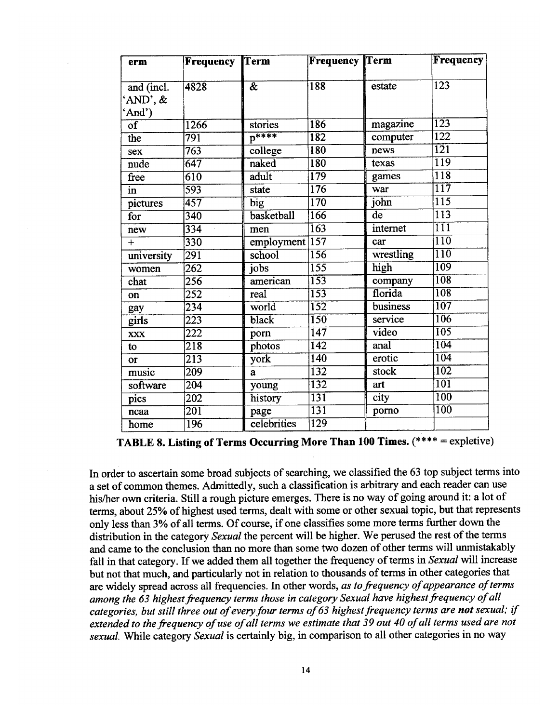| erm                    | Frequency        | Term                          | <b>Frequency Term</b> |                | Frequency        |
|------------------------|------------------|-------------------------------|-----------------------|----------------|------------------|
|                        |                  |                               |                       |                |                  |
| and (incl.             | 4828             | $\overline{\bm{\mathcal{X}}}$ | 188                   | estate         | $\overline{123}$ |
| 'AND', &               |                  |                               |                       |                |                  |
| 'And')                 |                  |                               |                       |                |                  |
| $\overline{\text{of}}$ | 1266             | stories                       | 186                   | magazine       | $\overline{123}$ |
| the                    | 791              | $p***$                        | 182                   | computer       | $\overline{122}$ |
| sex                    | $\overline{763}$ | college                       | 180                   | news           | $\overline{121}$ |
| nude                   | 647              | naked                         | 180                   | texas          | $\overline{119}$ |
| free                   | $\overline{610}$ | adult                         | 179                   | games          | 118              |
| in                     | 593              | state                         | $\overline{176}$      | war            | $\overline{117}$ |
| pictures               | 457              | big                           | $\overline{170}$      | john           | $\overline{115}$ |
| for                    | $\overline{340}$ | basketball                    | 166                   | $\bf{d}\bf{e}$ | $\overline{113}$ |
| new                    | 334<br>$\bar{L}$ | men                           | $\overline{163}$      | internet       | $\overline{111}$ |
| $+$                    | 330              | $emplogment$ 157              |                       | car            | $\overline{110}$ |
| university             | 291              | school                        | 156                   | wrestling      | $\overline{110}$ |
| women                  | 262              | jobs                          | $\overline{155}$      | high           | 109              |
| chat                   | 256              | $a$ merican                   | 153                   | company        | 108              |
| on                     | 252              | real                          | 153                   | florida        | 108              |
| gay                    | $\overline{234}$ | world                         | $\overline{152}$      | business       | $\overline{107}$ |
| girls                  | 223              | black                         | 150                   | service        | 106              |
| <b>XXX</b>             | 222              | porn                          | $\overline{147}$      | video          | $\overline{105}$ |
| to                     | 218              | photos                        | $\overline{142}$      | anal           | 104              |
| or                     | $\overline{213}$ | york                          | $\overline{140}$      | erotic         | $\overline{104}$ |
| music                  | 209              | a                             | 132                   | stock          | $\overline{102}$ |
| software               | $\sqrt{204}$     | young                         | 132                   | art            | $\overline{101}$ |
| pics                   | $\overline{202}$ | history                       | $\overline{131}$      | city           | $\overline{100}$ |
| ncaa                   | $\overline{201}$ | page                          | $\overline{131}$      | porno          | $\overline{100}$ |
| home                   | 196              | celebrities                   | $\overline{129}$      |                |                  |

TABLE 8. **Listing of Terms Occurring More Than 100 Times.** (\*\*\*\* = expletive)

In order to ascertain some broad subjects of searching, we classified the 63 top subject terms into a set of common themes. Admittedly, such a classification is arbitrary and each reader can use his/her own criteria. Still a rough picture emerges. There is no way of going around it: a lot of terms, about 25% of highest used terms, dealt with some or other sexual topic, but that represents only less than 3% of all terms. Of course, if one classifies some more terms further down the distribution in the category *Sexual* the percent will be higher. We perused the rest of the terms and came to the conclusion than no more than some two dozen of other terms will unmistakably fall in that category. If we added them all together the frequency of terms in *Sexual* will increase but not that much, and particularly not in relation to thousands of terms in other categories that are widely spread across all frequencies. In other words, *as to frequency of appearance of terms among the 63 highest frequency terms those in category Sexual have highest frequency of all categories, but still three out of every four terms of 63 highest ffequency terms are not sexual; if extended to the frequency of use of all terms we estimate that 39 out 40 of all terms used are not sexual.* While category *Sexual* is certainly big, in comparison to all other categories in no way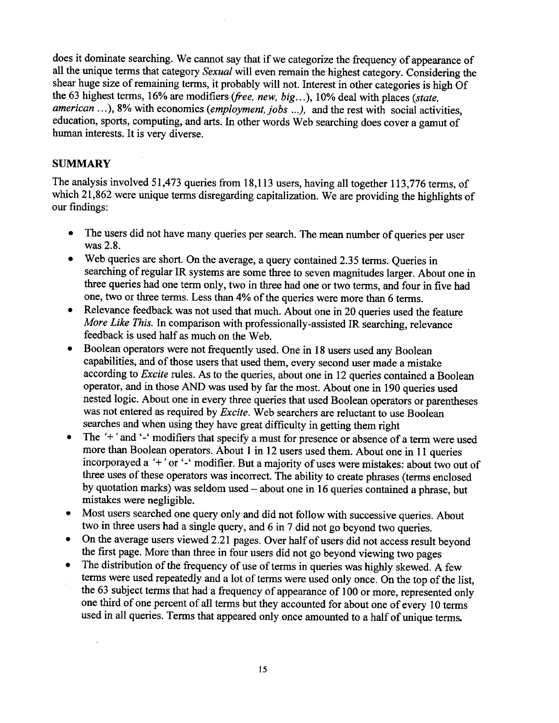does it dominate searching. We cannot say that if we categorize the frequency of appearance of all the unique terms that category *Sexual* will even remain the highest category. Considering the shear huge size of remaining terms, it probably will not. Interest in other categories is high Of the 63 highest terms, 16% are modifiers *(free, new, big...)*, 10% deal with places *(state, american ...),* 8% with economics *(employment, jobs* ...), and the rest with social activities, education, sports, computing, and arts. In other words Web searching does cover a gamut of human interests. It is very diverse.

### **SUMMARY**

The analysis involved 51,473 queries from 18,113 users, having all together 113,776 terms, of which 21,862 were unique terms disregarding capitalization. We are providing the highlights of our findings:

- The users did not have many queries per search. The mean number of queries per user was 2.8.
- Web queries are short. On the average, a query contained 2.35 terms. Queries in searching of regular IR systems are some three to seven magnitudes larger. About one in three queries had one term only, two in three had one or two terms, and four in five had one, two or three terms. Less than 4% of the queries were more than 6 terms.
- Relevance feedback was not used that much. About one in 20 queries used the feature *More Like This.* In comparison with professionally-assisted IR searching, relevance feedback is used half as much on the Web.
- Boolean operators were not frequently used. One in 18 users used any Boolean capabilities, and of those users that used them, every second user made a mistake according to *Excite* rules. As to the queries, about one in 12 queries contained a Boolean operator, and in those AND was used by far the most. About one in 190 queries used nested logic. About one in every three queries that used Boolean operators or parentheses was not entered as required by *Excite.* Web searchers are reluctant to use Boolean searches and when using they have great difficulty in getting them right
- The '+' and '-' modifiers that specify a must for presence or absence of a term were used more than Boolean operators. About 1 in 12 users used them. About one in 11 queries incorporayed a '+' or '-' modifier. But a majority of uses were mistakes: about two out of three uses of these operators was incorrect. The ability to create phrases (terms enclosed by quotation marks) was seldom used - about one in 16 queries contained a phrase, but mistakes were negligible.
- Most users searched one query only and did not follow with successive queries. About two in three users had a single query, and 6 in 7 did not go beyond two queries.
- On the average users viewed 2.21 pages. Over half of users did not access result beyond the first page. More than three in four users did not go beyond viewing two pages
- The distribution of the frequency of use of terms in queries was highly skewed. A few terms were used repeatedly and a lot of terms were used only once. On the top of the list, the 63 subject terms that had a frequency of appearance of 100 or more, represented only one third of one percent of all terms but they accounted for about one of every 10 terms used in all queries. Terms that appeared only once amounted to a half of unique terms.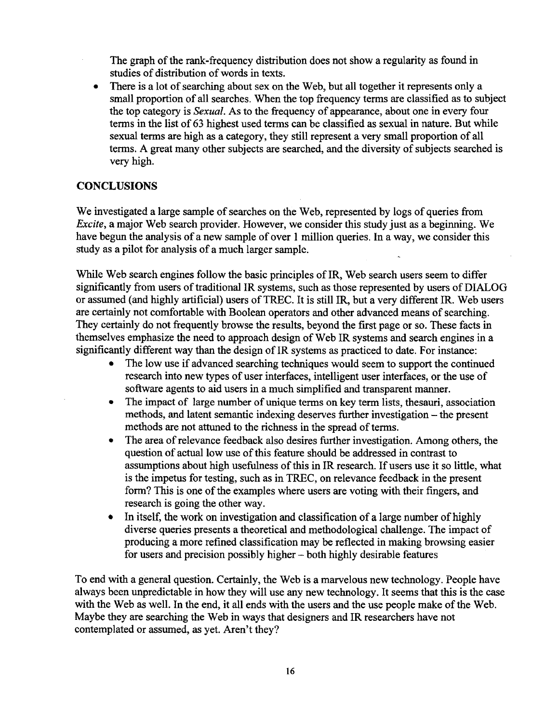The graph of the rank-frequency distribution does not show a regularity as found in studies of distribution of words in texts.

There is a lot of searching about sex on the Web, but all together it represents only a  $\bullet$ small proportion of all searches. When the top frequency terms are classified as to subject the top category is *Sexual.* As to the frequency of appearance, about one in every four terms in the list of 63 highest used terms can be classified as sexual in nature. But while sexual terms are high as a category, they still represent a very small proportion of all terms. A great many other subjects are searched, and the diversity of subjects searched is very high.

# **CONCLUSIONS**

We investigated a large sample of searches on the Web, represented by logs of queries from *Excite,* a major Web search provider. However, we consider this study just as a beginning. We have begun the analysis of a new sample of over 1 million queries. In a way, we consider this study as a pilot for analysis of a much larger sample.

While Web search engines follow the basic principles of IR, Web search users seem to differ significantly from users of traditional IR systems, such as those represented by users of DIALOG or assumed (and highly artificial) users of TREC. It is still IR, but a very different IR. Web users are certainly not comfortable with Boolean operators and other advanced means of searching. They certainly do not frequently browse the results, beyond the first page or so. These facts in themselves emphasize the need to approach design of Web IR systems and search engines in a significantly different way than the design of IR systems as practiced to date. For instance:

- The low use if advanced searching techniques would seem to support the continued research into new types of user interfaces, intelligent user interfaces, or the use of software agents to aid users in a much simplified and transparent manner.
- The impact of large number of unique terms on key term lists, thesauri, association methods, and latent semantic indexing deserves further investigation – the present methods are not attuned to the richness in the spread of terms.
- The area of relevance feedback also desires further investigation. Among others, the question of actual low use of this feature should be addressed in contrast to assumptions about high usefulness of this in IR research. If users use it so little, what is the impetus for testing, such as in TREC, on relevance feedback in the present form? This is one of the examples where users are voting with their fingers, and research is going the other way.
- In itself, the work on investigation and classification of a large number of highly diverse queries presents a theoretical and methodological challenge. The impact of producing a more refined classification may be reflected in making browsing easier for users and precision possibly higher - both highly desirable features

To end with a general question. Certainly, the Web is a marvelous new technology. People have always been unpredictable in how they will use any new technology. It seems that this is the case with the Web as well. In the end, it all ends with the users and the use people make of the Web. Maybe they are searching the Web in ways that designers and IR researchers have not contemplated or assumed, as yet. Aren't they?